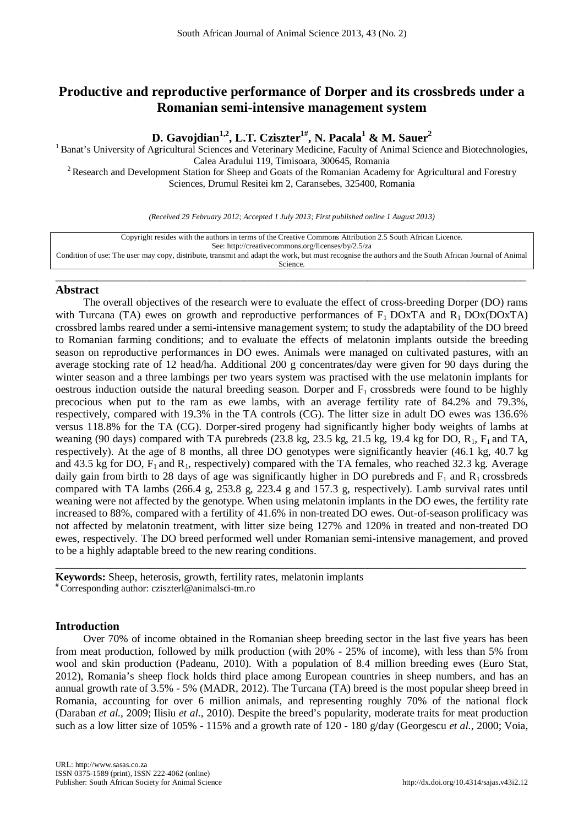# **Productive and reproductive performance of Dorper and its crossbreds under a Romanian semi-intensive management system**

**D. Gavojdian1,2, L.T. Cziszter1#, N. Pacala1 & M. Sauer2**

<sup>1</sup> Banat's University of Agricultural Sciences and Veterinary Medicine, Faculty of Animal Science and Biotechnologies,<br>Calea Aradului 119, Timisoara, 300645, Romania <sup>2</sup> Research and Development Station for Sheep and Goats of the Romanian Academy for Agricultural and Forestry Sciences, Drumul Resitei km 2, Caransebes, 325400, Romania

*(Received 29 February 2012; Accepted 1 July 2013; First published online 1 August 2013)*

| Copyright resides with the authors in terms of the Creative Commons Attribution 2.5 South African Licence.                                           |
|------------------------------------------------------------------------------------------------------------------------------------------------------|
| See: http://creativecommons.org/licenses/by/2.5/za                                                                                                   |
| Condition of use: The user may copy, distribute, transmit and adapt the work, but must recognise the authors and the South African Journal of Animal |
| Science.                                                                                                                                             |

\_\_\_\_\_\_\_\_\_\_\_\_\_\_\_\_\_\_\_\_\_\_\_\_\_\_\_\_\_\_\_\_\_\_\_\_\_\_\_\_\_\_\_\_\_\_\_\_\_\_\_\_\_\_\_\_\_\_\_\_\_\_\_\_\_\_\_\_\_\_\_\_\_\_\_\_\_\_\_\_

# **Abstract**

The overall objectives of the research were to evaluate the effect of cross-breeding Dorper (DO) rams with Turcana (TA) ewes on growth and reproductive performances of  $F_1$  DOxTA and  $R_1$  DOx(DOxTA) crossbred lambs reared under a semi-intensive management system; to study the adaptability of the DO breed to Romanian farming conditions; and to evaluate the effects of melatonin implants outside the breeding season on reproductive performances in DO ewes. Animals were managed on cultivated pastures, with an average stocking rate of 12 head/ha. Additional 200 g concentrates/day were given for 90 days during the winter season and a three lambings per two years system was practised with the use melatonin implants for oestrous induction outside the natural breeding season. Dorper and  $F_1$  crossbreds were found to be highly precocious when put to the ram as ewe lambs, with an average fertility rate of 84.2% and 79.3%, respectively, compared with 19.3% in the TA controls (CG). The litter size in adult DO ewes was 136.6% versus 118.8% for the TA (CG). Dorper-sired progeny had significantly higher body weights of lambs at weaning (90 days) compared with TA purebreds (23.8 kg, 23.5 kg, 21.5 kg, 19.4 kg for DO,  $R_1$ ,  $F_1$  and TA, respectively). At the age of 8 months, all three DO genotypes were significantly heavier (46.1 kg, 40.7 kg and 43.5 kg for DO,  $F_1$  and  $R_1$ , respectively) compared with the TA females, who reached 32.3 kg. Average daily gain from birth to 28 days of age was significantly higher in DO purebreds and  $F_1$  and  $R_1$  crossbreds compared with TA lambs (266.4 g, 253.8 g, 223.4 g and 157.3 g, respectively). Lamb survival rates until weaning were not affected by the genotype. When using melatonin implants in the DO ewes, the fertility rate increased to 88%, compared with a fertility of 41.6% in non-treated DO ewes. Out-of-season prolificacy was not affected by melatonin treatment, with litter size being 127% and 120% in treated and non-treated DO ewes, respectively. The DO breed performed well under Romanian semi-intensive management, and proved to be a highly adaptable breed to the new rearing conditions.

**Keywords:** Sheep, heterosis, growth, fertility rates, melatonin implants # Corresponding author: [cziszterl@animalsci-tm.ro](mailto:cziszterl@animalsci-tm.ro)

# **Introduction**

Over 70% of income obtained in the Romanian sheep breeding sector in the last five years has been from meat production, followed by milk production (with 20% - 25% of income), with less than 5% from wool and skin production (Padeanu, 2010). With a population of 8.4 million breeding ewes (Euro Stat, 2012), Romania's sheep flock holds third place among European countries in sheep numbers, and has an annual growth rate of 3.5% - 5% (MADR, 2012). The Turcana (TA) breed is the most popular sheep breed in Romania, accounting for over 6 million animals, and representing roughly 70% of the national flock (Daraban *et al.*, 2009; Ilisiu *et al.*, 2010). Despite the breed's popularity, moderate traits for meat production such as a low litter size of 105% - 115% and a growth rate of 120 - 180 g/day (Georgescu *et al.*, 2000; Voia,

\_\_\_\_\_\_\_\_\_\_\_\_\_\_\_\_\_\_\_\_\_\_\_\_\_\_\_\_\_\_\_\_\_\_\_\_\_\_\_\_\_\_\_\_\_\_\_\_\_\_\_\_\_\_\_\_\_\_\_\_\_\_\_\_\_\_\_\_\_\_\_\_\_\_\_\_\_\_\_\_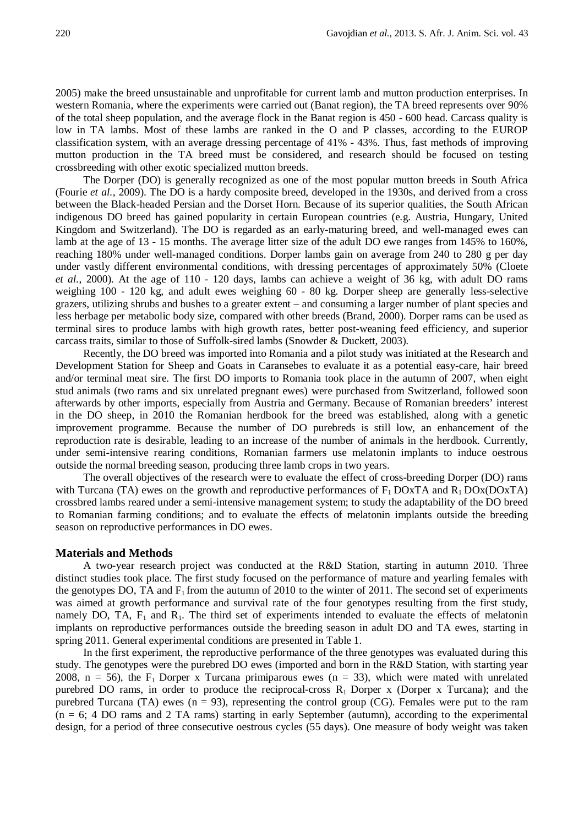2005) make the breed unsustainable and unprofitable for current lamb and mutton production enterprises. In western Romania, where the experiments were carried out (Banat region), the TA breed represents over 90% of the total sheep population, and the average flock in the Banat region is 450 - 600 head. Carcass quality is low in TA lambs. Most of these lambs are ranked in the O and P classes, according to the EUROP classification system, with an average dressing percentage of 41% - 43%. Thus, fast methods of improving mutton production in the TA breed must be considered, and research should be focused on testing crossbreeding with other exotic specialized mutton breeds.

The Dorper (DO) is generally recognized as one of the most popular mutton breeds in South Africa (Fourie *et al.*, 2009). The DO is a hardy composite breed, developed in the 1930s, and derived from a cross between the Black-headed Persian and the Dorset Horn. Because of its superior qualities, the South African indigenous DO breed has gained popularity in certain European countries (e.g. Austria, Hungary, United Kingdom and Switzerland). The DO is regarded as an early-maturing breed, and well-managed ewes can lamb at the age of 13 - 15 months. The average litter size of the adult DO ewe ranges from 145% to 160%, reaching 180% under well-managed conditions. Dorper lambs gain on average from 240 to 280 g per day under vastly different environmental conditions, with dressing percentages of approximately 50% (Cloete *et al.*, 2000). At the age of 110 - 120 days, lambs can achieve a weight of 36 kg, with adult DO rams weighing 100 - 120 kg, and adult ewes weighing 60 - 80 kg. Dorper sheep are generally less-selective grazers, utilizing shrubs and bushes to a greater extent – and consuming a larger number of plant species and less herbage per metabolic body size, compared with other breeds (Brand, 2000). Dorper rams can be used as terminal sires to produce lambs with high growth rates, better post-weaning feed efficiency, and superior carcass traits, similar to those of Suffolk-sired lambs (Snowder & Duckett, 2003).

Recently, the DO breed was imported into Romania and a pilot study was initiated at the Research and Development Station for Sheep and Goats in Caransebes to evaluate it as a potential easy-care, hair breed and/or terminal meat sire. The first DO imports to Romania took place in the autumn of 2007, when eight stud animals (two rams and six unrelated pregnant ewes) were purchased from Switzerland, followed soon afterwards by other imports, especially from Austria and Germany. Because of Romanian breeders' interest in the DO sheep, in 2010 the Romanian herdbook for the breed was established, along with a genetic improvement programme. Because the number of DO purebreds is still low, an enhancement of the reproduction rate is desirable, leading to an increase of the number of animals in the herdbook. Currently, under semi-intensive rearing conditions, Romanian farmers use melatonin implants to induce oestrous outside the normal breeding season, producing three lamb crops in two years.

The overall objectives of the research were to evaluate the effect of cross-breeding Dorper (DO) rams with Turcana (TA) ewes on the growth and reproductive performances of  $F_1$  DOxTA and  $R_1$  DOx(DOxTA) crossbred lambs reared under a semi-intensive management system; to study the adaptability of the DO breed to Romanian farming conditions; and to evaluate the effects of melatonin implants outside the breeding season on reproductive performances in DO ewes.

#### **Materials and Methods**

A two-year research project was conducted at the R&D Station, starting in autumn 2010. Three distinct studies took place. The first study focused on the performance of mature and yearling females with the genotypes DO, TA and  $F_1$  from the autumn of 2010 to the winter of 2011. The second set of experiments was aimed at growth performance and survival rate of the four genotypes resulting from the first study, namely DO, TA,  $F_1$  and  $R_1$ . The third set of experiments intended to evaluate the effects of melatonin implants on reproductive performances outside the breeding season in adult DO and TA ewes, starting in spring 2011. General experimental conditions are presented in Table 1.

In the first experiment, the reproductive performance of the three genotypes was evaluated during this study. The genotypes were the purebred DO ewes (imported and born in the R&D Station, with starting year 2008,  $n = 56$ , the F<sub>1</sub> Dorper x Turcana primiparous ewes  $(n = 33)$ , which were mated with unrelated purebred DO rams, in order to produce the reciprocal-cross  $R_1$  Dorper x (Dorper x Turcana); and the purebred Turcana (TA) ewes  $(n = 93)$ , representing the control group (CG). Females were put to the ram  $(n = 6; 4)$  DO rams and 2 TA rams) starting in early September (autumn), according to the experimental design, for a period of three consecutive oestrous cycles (55 days). One measure of body weight was taken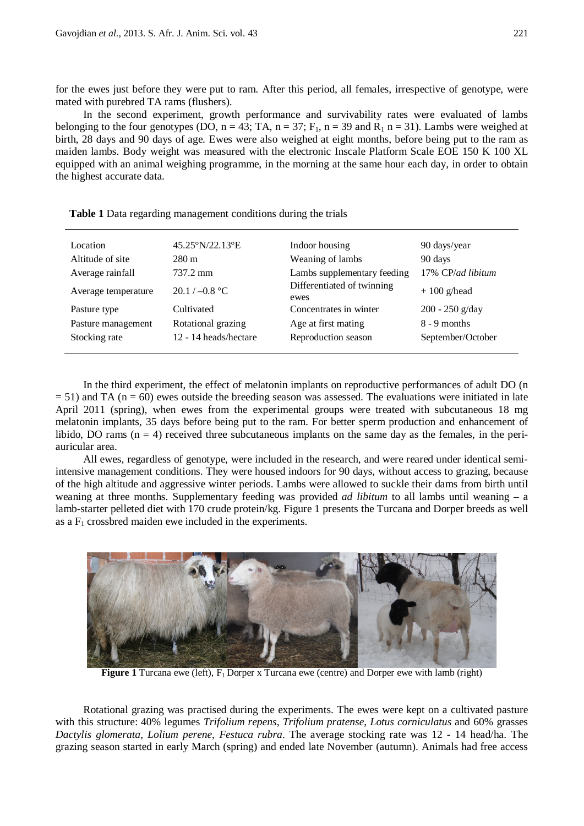for the ewes just before they were put to ram. After this period, all females, irrespective of genotype, were mated with purebred TA rams (flushers).

In the second experiment, growth performance and survivability rates were evaluated of lambs belonging to the four genotypes (DO,  $n = 43$ ; TA,  $n = 37$ ; F<sub>1</sub>,  $n = 39$  and R<sub>1</sub>  $n = 31$ ). Lambs were weighed at birth, 28 days and 90 days of age. Ewes were also weighed at eight months, before being put to the ram as maiden lambs. Body weight was measured with the electronic Inscale Platform Scale EOE 150 K 100 XL equipped with an animal weighing programme, in the morning at the same hour each day, in order to obtain the highest accurate data.

| Location<br>Altitude of site<br>Average rainfall | 45.25°N/22.13°E<br>$280 \text{ m}$<br>737.2 mm | Indoor housing<br>Weaning of lambs<br>Lambs supplementary feeding | 90 days/year<br>90 days<br>17% CP/ad libitum |
|--------------------------------------------------|------------------------------------------------|-------------------------------------------------------------------|----------------------------------------------|
| Average temperature                              | $20.1 / -0.8$ °C                               | Differentiated of twinning<br>ewes                                | $+100$ g/head                                |
| Pasture type                                     | Cultivated                                     | Concentrates in winter                                            | $200 - 250$ g/day                            |
| Pasture management                               | Rotational grazing                             | Age at first mating                                               | $8 - 9$ months                               |
| Stocking rate                                    | 12 - 14 heads/hectare                          | Reproduction season                                               | September/October                            |

**Table 1** Data regarding management conditions during the trials

In the third experiment, the effect of melatonin implants on reproductive performances of adult DO (n  $= 51$ ) and TA (n = 60) ewes outside the breeding season was assessed. The evaluations were initiated in late April 2011 (spring), when ewes from the experimental groups were treated with subcutaneous 18 mg melatonin implants, 35 days before being put to the ram. For better sperm production and enhancement of libido, DO rams  $(n = 4)$  received three subcutaneous implants on the same day as the females, in the periauricular area.

All ewes, regardless of genotype, were included in the research, and were reared under identical semiintensive management conditions. They were housed indoors for 90 days, without access to grazing, because of the high altitude and aggressive winter periods. Lambs were allowed to suckle their dams from birth until weaning at three months. Supplementary feeding was provided *ad libitum* to all lambs until weaning – a lamb-starter pelleted diet with 170 crude protein/kg. Figure 1 presents the Turcana and Dorper breeds as well as a  $F_1$  crossbred maiden ewe included in the experiments.



**Figure 1** Turcana ewe (left),  $F_1$  Dorper x Turcana ewe (centre) and Dorper ewe with lamb (right)

Rotational grazing was practised during the experiments. The ewes were kept on a cultivated pasture with this structure: 40% legumes *Trifolium repens*, *Trifolium pratense*, *Lotus corniculatus* and 60% grasses *Dactylis glomerata*, *Lolium perene*, *Festuca rubra*. The average stocking rate was 12 - 14 head/ha. The grazing season started in early March (spring) and ended late November (autumn). Animals had free access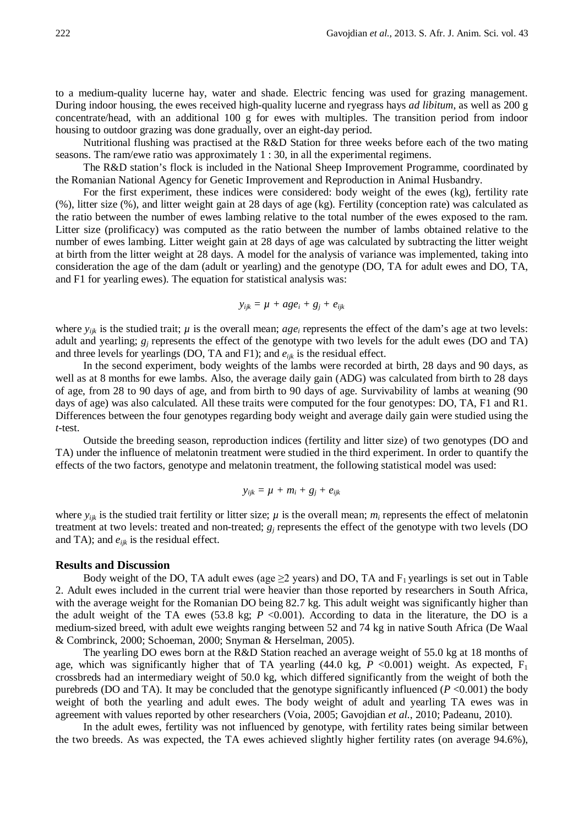to a medium-quality lucerne hay, water and shade. Electric fencing was used for grazing management. During indoor housing, the ewes received high-quality lucerne and ryegrass hays *ad libitum*, as well as 200 g concentrate/head, with an additional 100 g for ewes with multiples. The transition period from indoor housing to outdoor grazing was done gradually, over an eight-day period.

Nutritional flushing was practised at the R&D Station for three weeks before each of the two mating seasons. The ram/ewe ratio was approximately 1 : 30, in all the experimental regimens.

The R&D station's flock is included in the National Sheep Improvement Programme, coordinated by the Romanian National Agency for Genetic Improvement and Reproduction in Animal Husbandry.

For the first experiment, these indices were considered: body weight of the ewes (kg), fertility rate (%), litter size (%), and litter weight gain at 28 days of age (kg). Fertility (conception rate) was calculated as the ratio between the number of ewes lambing relative to the total number of the ewes exposed to the ram. Litter size (prolificacy) was computed as the ratio between the number of lambs obtained relative to the number of ewes lambing. Litter weight gain at 28 days of age was calculated by subtracting the litter weight at birth from the litter weight at 28 days. A model for the analysis of variance was implemented, taking into consideration the age of the dam (adult or yearling) and the genotype (DO, TA for adult ewes and DO, TA, and F1 for yearling ewes). The equation for statistical analysis was:

$$
y_{ijk} = \mu + age_i + g_j + e_{ijk}
$$

where  $y_{ijk}$  is the studied trait;  $\mu$  is the overall mean; *age<sub>i</sub>* represents the effect of the dam's age at two levels: adult and yearling; *gj* represents the effect of the genotype with two levels for the adult ewes (DO and TA) and three levels for yearlings (DO, TA and F1); and *eijk* is the residual effect.

In the second experiment, body weights of the lambs were recorded at birth, 28 days and 90 days, as well as at 8 months for ewe lambs. Also, the average daily gain (ADG) was calculated from birth to 28 days of age, from 28 to 90 days of age, and from birth to 90 days of age. Survivability of lambs at weaning (90 days of age) was also calculated. All these traits were computed for the four genotypes: DO, TA, F1 and R1. Differences between the four genotypes regarding body weight and average daily gain were studied using the *t*-test.

Outside the breeding season, reproduction indices (fertility and litter size) of two genotypes (DO and TA) under the influence of melatonin treatment were studied in the third experiment. In order to quantify the effects of the two factors, genotype and melatonin treatment, the following statistical model was used:

$$
y_{ijk} = \mu + m_i + g_j + e_{ijk}
$$

where  $y_{ijk}$  is the studied trait fertility or litter size;  $\mu$  is the overall mean;  $m_i$  represents the effect of melatonin treatment at two levels: treated and non-treated;  $g_j$  represents the effect of the genotype with two levels (DO and TA); and  $e_{ijk}$  is the residual effect.

#### **Results and Discussion**

Body weight of the DO, TA adult ewes (age  $\geq$ 2 years) and DO, TA and F<sub>1</sub> yearlings is set out in Table 2. Adult ewes included in the current trial were heavier than those reported by researchers in South Africa, with the average weight for the Romanian DO being 82.7 kg. This adult weight was significantly higher than the adult weight of the TA ewes (53.8 kg;  $P \le 0.001$ ). According to data in the literature, the DO is a medium-sized breed, with adult ewe weights ranging between 52 and 74 kg in native South Africa (De Waal & Combrinck, 2000; Schoeman, 2000; Snyman & Herselman, 2005).

The yearling DO ewes born at the R&D Station reached an average weight of 55.0 kg at 18 months of age, which was significantly higher that of TA yearling (44.0 kg,  $P < 0.001$ ) weight. As expected,  $F_1$ crossbreds had an intermediary weight of 50.0 kg, which differed significantly from the weight of both the purebreds (DO and TA). It may be concluded that the genotype significantly influenced ( $P < 0.001$ ) the body weight of both the yearling and adult ewes. The body weight of adult and yearling TA ewes was in agreement with values reported by other researchers (Voia, 2005; Gavojdian *et al.*, 2010; Padeanu, 2010).

In the adult ewes, fertility was not influenced by genotype, with fertility rates being similar between the two breeds. As was expected, the TA ewes achieved slightly higher fertility rates (on average 94.6%),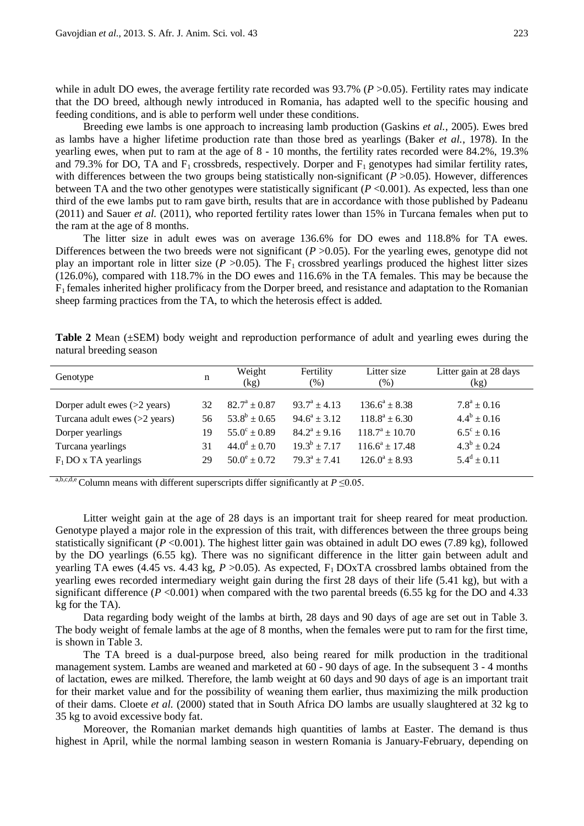while in adult DO ewes, the average fertility rate recorded was 93.7% (*P* > 0.05). Fertility rates may indicate that the DO breed, although newly introduced in Romania, has adapted well to the specific housing and feeding conditions, and is able to perform well under these conditions.

Breeding ewe lambs is one approach to increasing lamb production (Gaskins *et al.*, 2005). Ewes bred as lambs have a higher lifetime production rate than those bred as yearlings (Baker *et al.*, 1978). In the yearling ewes, when put to ram at the age of 8 - 10 months, the fertility rates recorded were 84.2%, 19.3% and 79.3% for DO, TA and  $F_1$  crossbreds, respectively. Dorper and  $F_1$  genotypes had similar fertility rates, with differences between the two groups being statistically non-significant (*P* >0.05). However, differences between TA and the two other genotypes were statistically significant (*P* <0.001). As expected, less than one third of the ewe lambs put to ram gave birth, results that are in accordance with those published by Padeanu (2011) and Sauer *et al.* (2011), who reported fertility rates lower than 15% in Turcana females when put to the ram at the age of 8 months.

The litter size in adult ewes was on average 136.6% for DO ewes and 118.8% for TA ewes. Differences between the two breeds were not significant  $(P > 0.05)$ . For the yearling ewes, genotype did not play an important role in litter size ( $P > 0.05$ ). The F<sub>1</sub> crossbred yearlings produced the highest litter sizes (126.0%), compared with 118.7% in the DO ewes and 116.6% in the TA females. This may be because the F1 females inherited higher prolificacy from the Dorper breed, and resistance and adaptation to the Romanian sheep farming practices from the TA, to which the heterosis effect is added.

**Table 2** Mean (±SEM) body weight and reproduction performance of adult and yearling ewes during the natural breeding season

| Genotype                        | n  | Weight<br>(kg)          | Fertility<br>(% ) | Litter size<br>(% ) | Litter gain at 28 days<br>(kg) |
|---------------------------------|----|-------------------------|-------------------|---------------------|--------------------------------|
| Dorper adult ewes $(>2$ years)  | 32 | $82.7^{\rm a} \pm 0.87$ | $93.7^a + 4.13$   | $136.6^a \pm 8.38$  | $7.8^{\rm a} \pm 0.16$         |
| Turcana adult ewes $(>2$ years) | 56 | $53.8^b \pm 0.65$       | $94.6^a \pm 3.12$ | $118.8^a \pm 6.30$  | $4.4^b \pm 0.16$               |
| Dorper yearlings                | 19 | $55.0^{\circ} \pm 0.89$ | $84.2^a \pm 9.16$ | $118.7^a + 10.70$   | $6.5^{\circ} \pm 0.16$         |
| Turcana yearlings               | 31 | $44.0^d \pm 0.70$       | $19.3^b \pm 7.17$ | $116.6^a \pm 17.48$ | $4.3^b \pm 0.24$               |
| $F_1$ DO x TA yearlings         | 29 | $50.0^{\circ} \pm 0.72$ | $79.3^a \pm 7.41$ | $126.0^a \pm 8.93$  | $5.4^d \pm 0.11$               |
|                                 |    |                         |                   |                     |                                |

a,b,c,d,e Column means with different superscripts differ significantly at  $P \le 0.05$ .

Litter weight gain at the age of 28 days is an important trait for sheep reared for meat production. Genotype played a major role in the expression of this trait, with differences between the three groups being statistically significant ( $P < 0.001$ ). The highest litter gain was obtained in adult DO ewes (7.89 kg), followed by the DO yearlings (6.55 kg). There was no significant difference in the litter gain between adult and yearling TA ewes (4.45 vs. 4.43 kg,  $P > 0.05$ ). As expected,  $F_1$  DOxTA crossbred lambs obtained from the yearling ewes recorded intermediary weight gain during the first 28 days of their life (5.41 kg), but with a significant difference ( $P < 0.001$ ) when compared with the two parental breeds (6.55 kg for the DO and 4.33 kg for the TA).

Data regarding body weight of the lambs at birth, 28 days and 90 days of age are set out in Table 3. The body weight of female lambs at the age of 8 months, when the females were put to ram for the first time, is shown in Table 3.

The TA breed is a dual-purpose breed, also being reared for milk production in the traditional management system. Lambs are weaned and marketed at 60 - 90 days of age. In the subsequent 3 - 4 months of lactation, ewes are milked. Therefore, the lamb weight at 60 days and 90 days of age is an important trait for their market value and for the possibility of weaning them earlier, thus maximizing the milk production of their dams. Cloete *et al.* (2000) stated that in South Africa DO lambs are usually slaughtered at 32 kg to 35 kg to avoid excessive body fat.

Moreover, the Romanian market demands high quantities of lambs at Easter. The demand is thus highest in April, while the normal lambing season in western Romania is January-February, depending on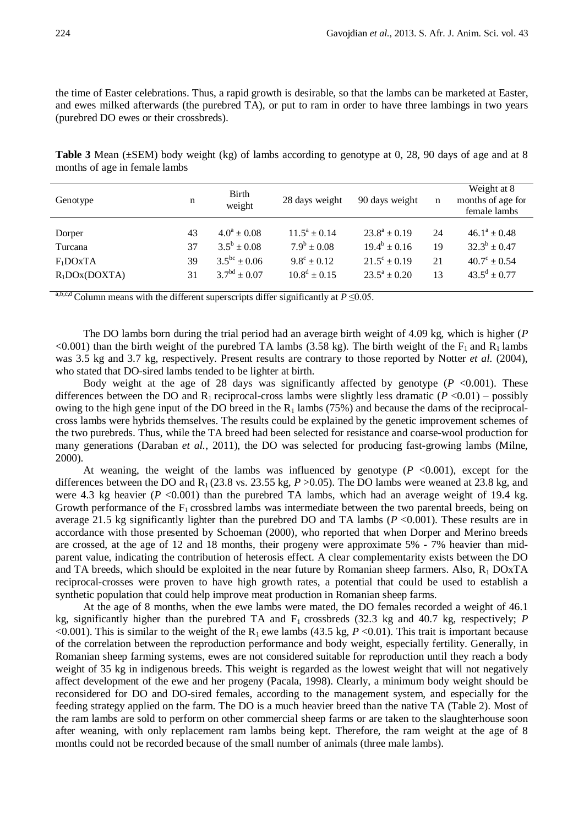the time of Easter celebrations. Thus, a rapid growth is desirable, so that the lambs can be marketed at Easter, and ewes milked afterwards (the purebred TA), or put to ram in order to have three lambings in two years (purebred DO ewes or their crossbreds).

**Table 3** Mean (±SEM) body weight (kg) of lambs according to genotype at 0, 28, 90 days of age and at 8 months of age in female lambs

| Genotype         | n  | Birth<br>weight     | 28 days weight         | 90 days weight          | n  | Weight at 8<br>months of age for<br>female lambs |
|------------------|----|---------------------|------------------------|-------------------------|----|--------------------------------------------------|
|                  |    |                     |                        |                         |    |                                                  |
| Dorper           | 43 | $4.0^a \pm 0.08$    | $11.5^a \pm 0.14$      | $23.8^a \pm 0.19$       | 24 | $46.1^a \pm 0.48$                                |
| Turcana          | 37 | $3.5^b \pm 0.08$    | $7.9^b \pm 0.08$       | $19.4^b \pm 0.16$       | 19 | $32.3^b \pm 0.47$                                |
| $F_1$ DOxTA      | 39 | $3.5^{bc} \pm 0.06$ | $9.8^{\circ} \pm 0.12$ | $21.5^{\circ} \pm 0.19$ | 21 | $40.7^{\circ} \pm 0.54$                          |
| $R_1$ DOx(DOXTA) | 31 | $3.7bd + 0.07$      | $10.8^d \pm 0.15$      | $23.5^a \pm 0.20$       | 13 | $43.5^{\rm d} \pm 0.77$                          |

a,b,c,d Column means with the different superscripts differ significantly at  $P \le 0.05$ .

The DO lambs born during the trial period had an average birth weight of 4.09 kg, which is higher (*P*  $\leq$ 0.001) than the birth weight of the purebred TA lambs (3.58 kg). The birth weight of the F<sub>1</sub> and R<sub>1</sub> lambs was 3.5 kg and 3.7 kg, respectively. Present results are contrary to those reported by Notter *et al.* (2004), who stated that DO-sired lambs tended to be lighter at birth.

Body weight at the age of 28 days was significantly affected by genotype  $(P \le 0.001)$ . These differences between the DO and R<sub>1</sub> reciprocal-cross lambs were slightly less dramatic  $(P \le 0.01)$  – possibly owing to the high gene input of the DO breed in the  $R_1$  lambs (75%) and because the dams of the reciprocalcross lambs were hybrids themselves. The results could be explained by the genetic improvement schemes of the two purebreds. Thus, while the TA breed had been selected for resistance and coarse-wool production for many generations (Daraban *et al.*, 2011), the DO was selected for producing fast-growing lambs (Milne, 2000).

At weaning, the weight of the lambs was influenced by genotype  $(P \le 0.001)$ , except for the differences between the DO and  $R_1$  (23.8 vs. 23.55 kg,  $P > 0.05$ ). The DO lambs were weaned at 23.8 kg, and were 4.3 kg heavier  $(P \le 0.001)$  than the purebred TA lambs, which had an average weight of 19.4 kg. Growth performance of the  $F_1$  crossbred lambs was intermediate between the two parental breeds, being on average 21.5 kg significantly lighter than the purebred DO and TA lambs (*P* <0.001). These results are in accordance with those presented by Schoeman (2000), who reported that when Dorper and Merino breeds are crossed, at the age of 12 and 18 months, their progeny were approximate 5% - 7% heavier than midparent value, indicating the contribution of heterosis effect. A clear complementarity exists between the DO and TA breeds, which should be exploited in the near future by Romanian sheep farmers. Also,  $R_1$  DOxTA reciprocal-crosses were proven to have high growth rates, a potential that could be used to establish a synthetic population that could help improve meat production in Romanian sheep farms.

At the age of 8 months, when the ewe lambs were mated, the DO females recorded a weight of 46.1 kg, significantly higher than the purebred TA and  $F_1$  crossbreds (32.3 kg and 40.7 kg, respectively; *P* <0.001). This is similar to the weight of the R<sub>1</sub> ewe lambs (43.5 kg,  $P \lt 0.01$ ). This trait is important because of the correlation between the reproduction performance and body weight, especially fertility. Generally, in Romanian sheep farming systems, ewes are not considered suitable for reproduction until they reach a body weight of 35 kg in indigenous breeds. This weight is regarded as the lowest weight that will not negatively affect development of the ewe and her progeny (Pacala, 1998). Clearly, a minimum body weight should be reconsidered for DO and DO-sired females, according to the management system, and especially for the feeding strategy applied on the farm. The DO is a much heavier breed than the native TA (Table 2). Most of the ram lambs are sold to perform on other commercial sheep farms or are taken to the slaughterhouse soon after weaning, with only replacement ram lambs being kept. Therefore, the ram weight at the age of 8 months could not be recorded because of the small number of animals (three male lambs).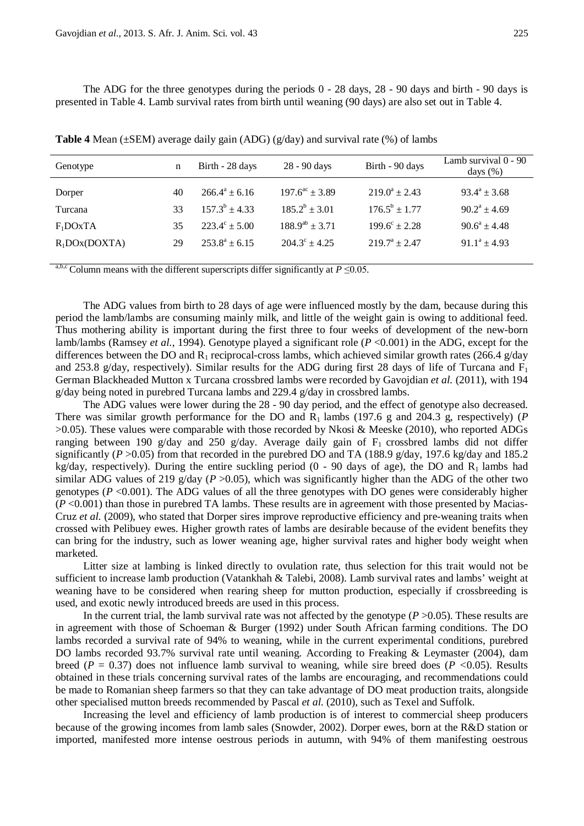The ADG for the three genotypes during the periods  $0 - 28$  days,  $28 - 90$  days and birth - 90 days is presented in Table 4. Lamb survival rates from birth until weaning (90 days) are also set out in Table 4.

| Genotype         | n  | Birth - 28 days        | 28 - 90 days                 | Birth - 90 days        | Lamb survival 0 - 90<br>days $(\%)$ |
|------------------|----|------------------------|------------------------------|------------------------|-------------------------------------|
|                  |    |                        |                              |                        |                                     |
| Dorper           | 40 | $266.4^a \pm 6.16$     | $197.6^{\text{ac}} \pm 3.89$ | $219.0^a \pm 2.43$     | $93.4^a \pm 3.68$                   |
| Turcana          | 33 | $157.3^b \pm 4.33$     | $185.2^b \pm 3.01$           | $176.5^b \pm 1.77$     | $90.2^a + 4.69$                     |
| $F_1$ DOxTA      | 35 | $223.4^{\circ} + 5.00$ | $188.9^{ab} \pm 3.71$        | $199.6^{\circ} + 2.28$ | $90.6^a \pm 4.48$                   |
| $R_1$ DOx(DOXTA) | 29 | $253.8^a + 6.15$       | $204.3^{\circ} + 4.25$       | $219.7^a + 2.47$       | $91.1^a \pm 4.93$                   |
|                  |    |                        |                              |                        |                                     |

**Table 4** Mean (±SEM) average daily gain (ADG) (g/day) and survival rate (%) of lambs

a,b,c Column means with the different superscripts differ significantly at  $P \le 0.05$ .

The ADG values from birth to 28 days of age were influenced mostly by the dam, because during this period the lamb/lambs are consuming mainly milk, and little of the weight gain is owing to additional feed. Thus mothering ability is important during the first three to four weeks of development of the new-born lamb/lambs (Ramsey *et al.*, 1994). Genotype played a significant role (*P* <0.001) in the ADG, except for the differences between the DO and R<sub>1</sub> reciprocal-cross lambs, which achieved similar growth rates (266.4 g/day and 253.8 g/day, respectively). Similar results for the ADG during first 28 days of life of Turcana and  $F_1$ German Blackheaded Mutton x Turcana crossbred lambs were recorded by Gavojdian *et al.* (2011), with 194 g/day being noted in purebred Turcana lambs and 229.4 g/day in crossbred lambs.

The ADG values were lower during the 28 - 90 day period, and the effect of genotype also decreased. There was similar growth performance for the DO and  $R_1$  lambs (197.6 g and 204.3 g, respectively) (*P* >0.05). These values were comparable with those recorded by Nkosi & Meeske (2010), who reported ADGs ranging between 190 g/day and 250 g/day. Average daily gain of  $F_1$  crossbred lambs did not differ significantly ( $P > 0.05$ ) from that recorded in the purebred DO and TA (188.9 g/day, 197.6 kg/day and 185.2 kg/day, respectively). During the entire suckling period  $(0 - 90)$  days of age), the DO and R<sub>1</sub> lambs had similar ADG values of 219  $g$ /day (*P* > 0.05), which was significantly higher than the ADG of the other two genotypes ( $P \le 0.001$ ). The ADG values of all the three genotypes with DO genes were considerably higher  $(P<0.001)$  than those in purebred TA lambs. These results are in agreement with those presented by Macias-Cruz *et al.* (2009), who stated that Dorper sires improve reproductive efficiency and pre-weaning traits when crossed with Pelibuey ewes. Higher growth rates of lambs are desirable because of the evident benefits they can bring for the industry, such as lower weaning age, higher survival rates and higher body weight when marketed.

Litter size at lambing is linked directly to ovulation rate, thus selection for this trait would not be sufficient to increase lamb production (Vatankhah & Talebi, 2008). Lamb survival rates and lambs' weight at weaning have to be considered when rearing sheep for mutton production, especially if crossbreeding is used, and exotic newly introduced breeds are used in this process.

In the current trial, the lamb survival rate was not affected by the genotype (*P* > 0.05). These results are in agreement with those of Schoeman & Burger (1992) under South African farming conditions. The DO lambs recorded a survival rate of 94% to weaning, while in the current experimental conditions, purebred DO lambs recorded 93.7% survival rate until weaning. According to Freaking & Leymaster (2004), dam breed ( $P = 0.37$ ) does not influence lamb survival to weaning, while sire breed does ( $P < 0.05$ ). Results obtained in these trials concerning survival rates of the lambs are encouraging, and recommendations could be made to Romanian sheep farmers so that they can take advantage of DO meat production traits, alongside other specialised mutton breeds recommended by Pascal *et al.* (2010), such as Texel and Suffolk.

Increasing the level and efficiency of lamb production is of interest to commercial sheep producers because of the growing incomes from lamb sales (Snowder, 2002). Dorper ewes, born at the R&D station or imported, manifested more intense oestrous periods in autumn, with 94% of them manifesting oestrous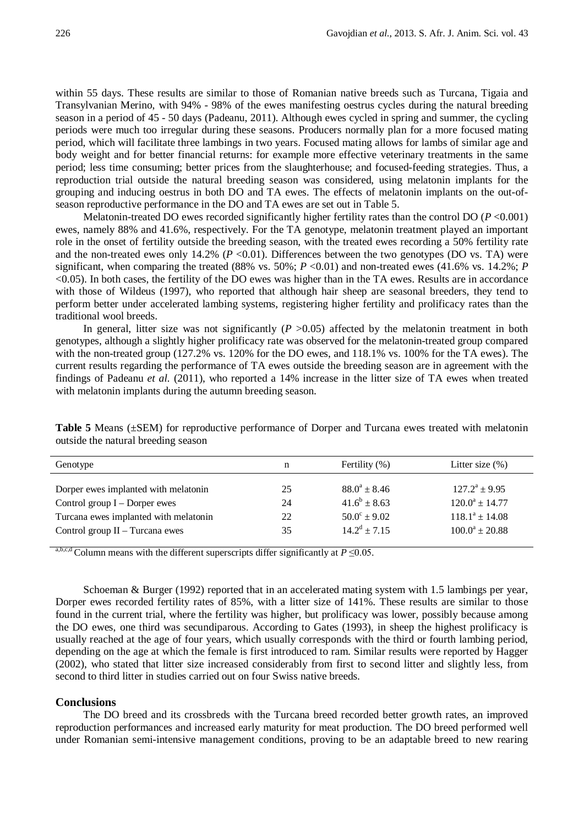within 55 days. These results are similar to those of Romanian native breeds such as Turcana, Tigaia and Transylvanian Merino, with 94% - 98% of the ewes manifesting oestrus cycles during the natural breeding season in a period of 45 - 50 days (Padeanu, 2011). Although ewes cycled in spring and summer, the cycling periods were much too irregular during these seasons. Producers normally plan for a more focused mating period, which will facilitate three lambings in two years. Focused mating allows for lambs of similar age and body weight and for better financial returns: for example more effective veterinary treatments in the same period; less time consuming; better prices from the slaughterhouse; and focused-feeding strategies. Thus, a reproduction trial outside the natural breeding season was considered, using melatonin implants for the grouping and inducing oestrus in both DO and TA ewes. The effects of melatonin implants on the out-ofseason reproductive performance in the DO and TA ewes are set out in Table 5.

Melatonin-treated DO ewes recorded significantly higher fertility rates than the control DO ( $P < 0.001$ ) ewes, namely 88% and 41.6%, respectively. For the TA genotype, melatonin treatment played an important role in the onset of fertility outside the breeding season, with the treated ewes recording a 50% fertility rate and the non-treated ewes only 14.2% ( $P < 0.01$ ). Differences between the two genotypes (DO vs. TA) were significant, when comparing the treated (88% vs. 50%;  $P \le 0.01$ ) and non-treated ewes (41.6% vs. 14.2%; *P* <0.05). In both cases, the fertility of the DO ewes was higher than in the TA ewes. Results are in accordance with those of Wildeus (1997), who reported that although hair sheep are seasonal breeders, they tend to perform better under accelerated lambing systems, registering higher fertility and prolificacy rates than the traditional wool breeds.

In general, litter size was not significantly  $(P > 0.05)$  affected by the melatonin treatment in both genotypes, although a slightly higher prolificacy rate was observed for the melatonin-treated group compared with the non-treated group (127.2% vs. 120% for the DO ewes, and 118.1% vs. 100% for the TA ewes). The current results regarding the performance of TA ewes outside the breeding season are in agreement with the findings of Padeanu *et al.* (2011), who reported a 14% increase in the litter size of TA ewes when treated with melatonin implants during the autumn breeding season.

| n  | Fertility $(\% )$       | Litter size $(\%)$  |
|----|-------------------------|---------------------|
| 25 | $88.0^a \pm 8.46$       | $127.2^a \pm 9.95$  |
| 24 | $41.6^b \pm 8.63$       | $120.0^a \pm 14.77$ |
| 22 | $50.0^{\circ} \pm 9.02$ | $118.1^a \pm 14.08$ |
| 35 | $14.2^d \pm 7.15$       | $100.0^a \pm 20.88$ |
|    |                         |                     |

**Table 5** Means (±SEM) for reproductive performance of Dorper and Turcana ewes treated with melatonin outside the natural breeding season

a,b,c,d Column means with the different superscripts differ significantly at  $P \le 0.05$ .

Schoeman & Burger (1992) reported that in an accelerated mating system with 1.5 lambings per year, Dorper ewes recorded fertility rates of 85%, with a litter size of 141%. These results are similar to those found in the current trial, where the fertility was higher, but prolificacy was lower, possibly because among the DO ewes, one third was secundiparous. According to Gates (1993), in sheep the highest prolificacy is usually reached at the age of four years, which usually corresponds with the third or fourth lambing period, depending on the age at which the female is first introduced to ram. Similar results were reported by Hagger (2002), who stated that litter size increased considerably from first to second litter and slightly less, from second to third litter in studies carried out on four Swiss native breeds.

## **Conclusions**

The DO breed and its crossbreds with the Turcana breed recorded better growth rates, an improved reproduction performances and increased early maturity for meat production. The DO breed performed well under Romanian semi-intensive management conditions, proving to be an adaptable breed to new rearing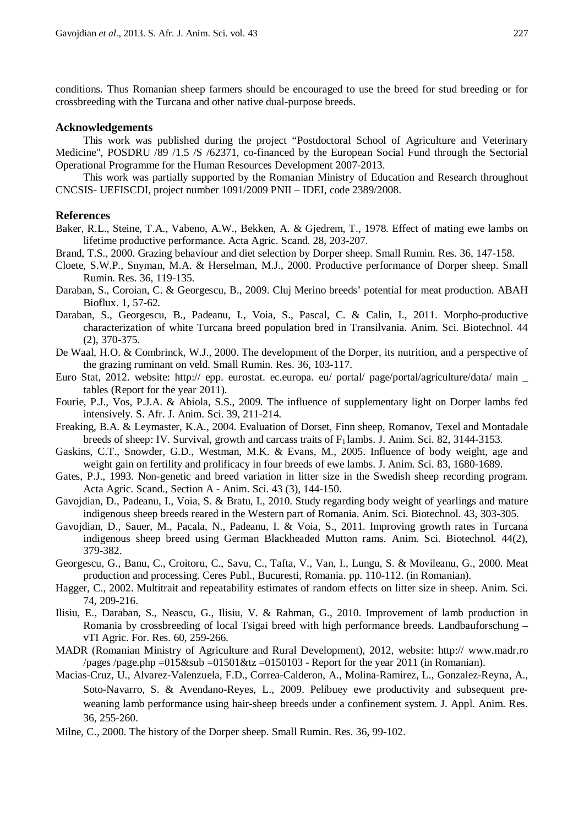conditions. Thus Romanian sheep farmers should be encouraged to use the breed for stud breeding or for crossbreeding with the Turcana and other native dual-purpose breeds.

## **Acknowledgements**

This work was published during the project "Postdoctoral School of Agriculture and Veterinary Medicine", POSDRU /89 /1.5 /S /62371, co-financed by the European Social Fund through the Sectorial Operational Programme for the Human Resources Development 2007-2013.

This work was partially supported by the Romanian Ministry of Education and Research throughout CNCSIS- UEFISCDI, project number 1091/2009 PNII – IDEI, code 2389/2008.

#### **References**

- Baker, R.L., Steine, T.A., Vabeno, A.W., Bekken, A. & Gjedrem, T., 1978. Effect of mating ewe lambs on lifetime productive performance. Acta Agric. Scand. 28, 203-207.
- Brand, T.S., 2000. Grazing behaviour and diet selection by Dorper sheep. Small Rumin. Res. 36, 147-158.
- Cloete, S.W.P., Snyman, M.A. & Herselman, M.J., 2000. Productive performance of Dorper sheep. Small Rumin. Res. 36, 119-135.
- Daraban, S., Coroian, C. & Georgescu, B., 2009. Cluj Merino breeds' potential for meat production. ABAH Bioflux. 1, 57-62.
- Daraban, S., Georgescu, B., Padeanu, I., Voia, S., Pascal, C. & Calin, I., 2011. Morpho-productive characterization of white Turcana breed population bred in Transilvania. Anim. Sci. Biotechnol. 44 (2), 370-375.
- De Waal, H.O. & Combrinck, W.J., 2000. The development of the Dorper, its nutrition, and a perspective of the grazing ruminant on veld. Small Rumin. Res. 36, 103-117.
- Euro Stat, 2012. website: http:// epp. eurostat. ec.europa. eu/ portal/ page/portal/agriculture/data/ main tables (Report for the year 2011).
- Fourie, P.J., Vos, P.J.A. & Abiola, S.S., 2009. The influence of supplementary light on Dorper lambs fed intensively. S. Afr. J. Anim. Sci. 39, 211-214.
- Freaking, B.A. & Leymaster, K.A., 2004. Evaluation of Dorset, Finn sheep, Romanov, Texel and Montadale breeds of sheep: IV. Survival, growth and carcass traits of  $F_1$  lambs. J. Anim. Sci. 82, 3144-3153.
- Gaskins, C.T., Snowder, G.D., Westman, M.K. & Evans, M., 2005. Influence of body weight, age and weight gain on fertility and prolificacy in four breeds of ewe lambs. J. Anim. Sci. 83, 1680-1689.
- Gates, P.J., 1993. Non-genetic and breed variation in litter size in the Swedish sheep recording program. Acta Agric. Scand., Section A - Anim. Sci. 43 (3), 144-150.
- Gavojdian, D., Padeanu, I., Voia, S. & Bratu, I., 2010. Study regarding body weight of yearlings and mature indigenous sheep breeds reared in the Western part of Romania. Anim. Sci. Biotechnol. 43, 303-305.
- Gavojdian, D., Sauer, M., Pacala, N., Padeanu, I. & Voia, S., 2011. Improving growth rates in Turcana indigenous sheep breed using German Blackheaded Mutton rams. Anim. Sci. Biotechnol. 44(2), 379-382.
- Georgescu, G., Banu, C., Croitoru, C., Savu, C., Tafta, V., Van, I., Lungu, S. & Movileanu, G., 2000. Meat production and processing. Ceres Publ., Bucuresti, Romania. pp. 110-112. (in Romanian).
- Hagger, C., 2002. Multitrait and repeatability estimates of random effects on litter size in sheep. Anim. Sci. 74, 209-216.
- Ilisiu, E., Daraban, S., Neascu, G., Ilisiu, V. & Rahman, G., 2010. Improvement of lamb production in Romania by crossbreeding of local Tsigai breed with high performance breeds. Landbauforschung – vTI Agric. For. Res. 60, 259-266.
- MADR (Romanian Ministry of Agriculture and Rural Development), 2012, website: http:// [www.madr.ro](http://www.madr.ro/)  $\alpha$  /pages /page.php =015&sub =01501&tz =0150103 - Report for the year 2011 (in Romanian).
- Macias-Cruz, U., Alvarez-Valenzuela, F.D., Correa-Calderon, A., Molina-Ramirez, L., Gonzalez-Reyna, A., Soto-Navarro, S. & Avendano-Reyes, L., 2009. Pelibuey ewe productivity and subsequent preweaning lamb performance using hair-sheep breeds under a confinement system. J. Appl. Anim. Res. 36, 255-260.
- Milne, C., 2000. The history of the Dorper sheep. Small Rumin. Res. 36, 99-102.